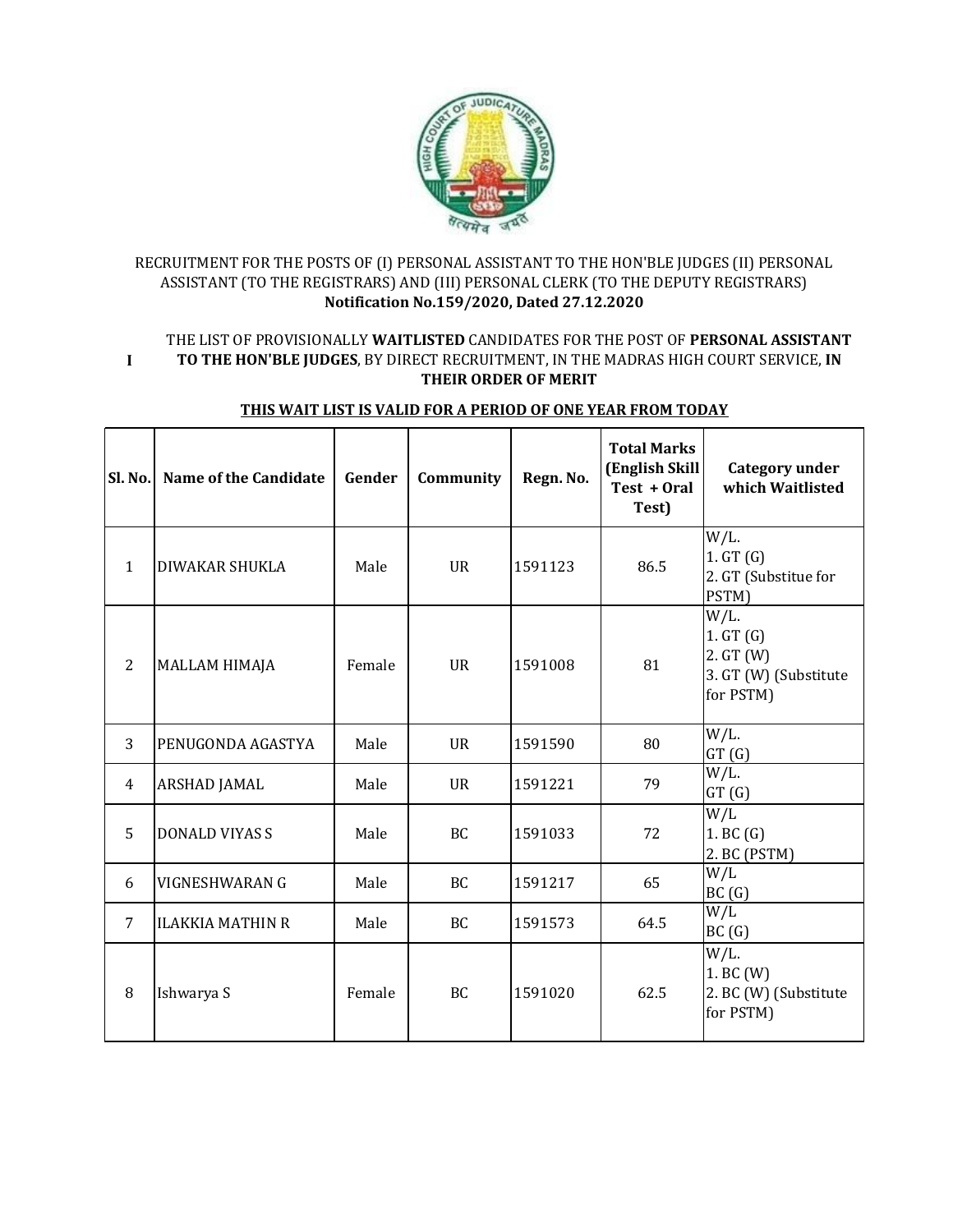

## RECRUITMENT FOR THE POSTS OF (I) PERSONAL ASSISTANT TO THE HON'BLE JUDGES (II) PERSONAL ASSISTANT (TO THE REGISTRARS) AND (III) PERSONAL CLERK (TO THE DEPUTY REGISTRARS) **Notification No.159/2020, Dated 27.12.2020**

**I** THE LIST OF PROVISIONALLY **WAITLISTED** CANDIDATES FOR THE POST OF **PERSONAL ASSISTANT TO THE HON'BLE JUDGES**, BY DIRECT RECRUITMENT, IN THE MADRAS HIGH COURT SERVICE, **IN THEIR ORDER OF MERIT** 

| Sl. No.        | Name of the Candidate   | Gender | Community | Regn. No. | <b>Total Marks</b><br>(English Skill<br>Test + Oral<br>Test) | Category under<br>which Waitlisted                                     |
|----------------|-------------------------|--------|-----------|-----------|--------------------------------------------------------------|------------------------------------------------------------------------|
| $\mathbf{1}$   | <b>DIWAKAR SHUKLA</b>   | Male   | <b>UR</b> | 1591123   | 86.5                                                         | $W/L$ .<br>1. GT(G)<br>2. GT (Substitue for<br>PSTM)                   |
| $\overline{2}$ | <b>MALLAM HIMAJA</b>    | Female | <b>UR</b> | 1591008   | 81                                                           | $W/L$ .<br>1. GT(G)<br>2. GT (W)<br>3. GT (W) (Substitute<br>for PSTM) |
| 3              | PENUGONDA AGASTYA       | Male   | <b>UR</b> | 1591590   | 80                                                           | $W/L$ .<br>GT(G)                                                       |
| 4              | <b>ARSHAD JAMAL</b>     | Male   | <b>UR</b> | 1591221   | 79                                                           | $W/L$ .<br>GT(G)                                                       |
| 5              | <b>DONALD VIYAS S</b>   | Male   | <b>BC</b> | 1591033   | 72                                                           | W/L<br>1. BC(G)<br>2. BC (PSTM)                                        |
| 6              | VIGNESHWARAN G          | Male   | BC        | 1591217   | 65                                                           | W/L<br>BC(G)                                                           |
| 7              | <b>ILAKKIA MATHIN R</b> | Male   | BC        | 1591573   | 64.5                                                         | W/L<br>BC(G)                                                           |
| 8              | Ishwarya S              | Female | <b>BC</b> | 1591020   | 62.5                                                         | $W/L$ .<br>1. BC (W)<br>2. BC (W) (Substitute<br>for PSTM)             |

## **THIS WAIT LIST IS VALID FOR A PERIOD OF ONE YEAR FROM TODAY**